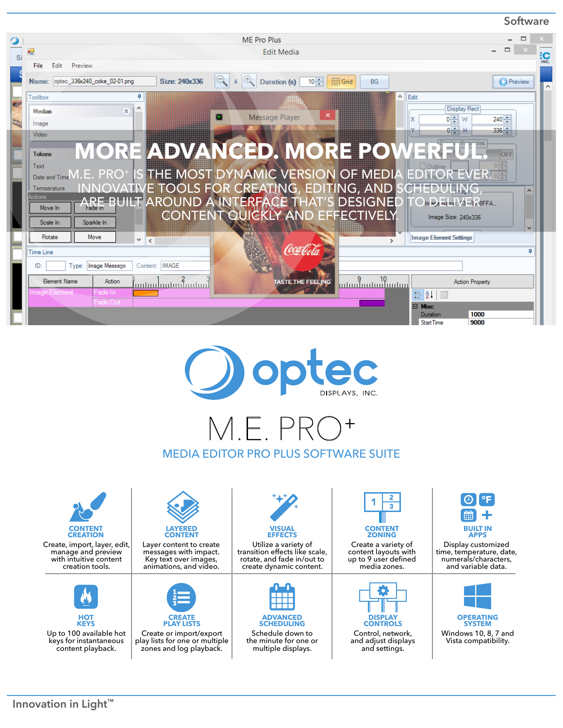